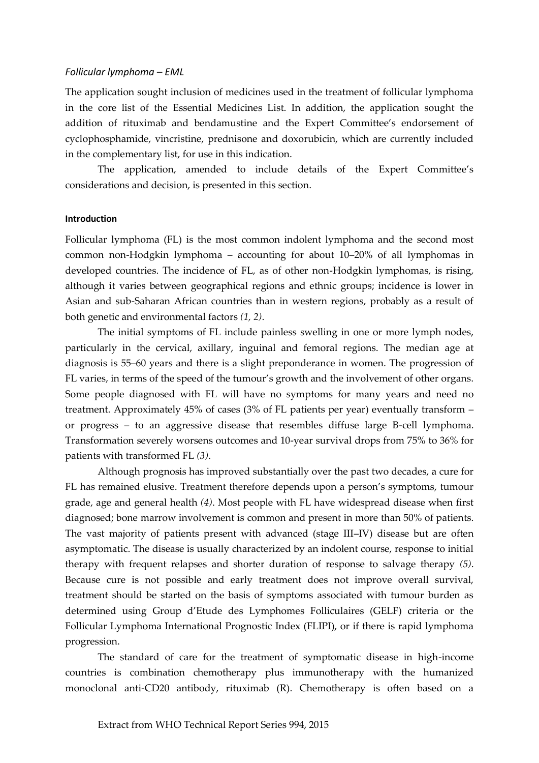## *Follicular lymphoma – EML*

The application sought inclusion of medicines used in the treatment of follicular lymphoma in the core list of the Essential Medicines List. In addition, the application sought the addition of rituximab and bendamustine and the Expert Committee's endorsement of cyclophosphamide, vincristine, prednisone and doxorubicin, which are currently included in the complementary list, for use in this indication.

The application, amended to include details of the Expert Committee's considerations and decision, is presented in this section.

### **Introduction**

Follicular lymphoma (FL) is the most common indolent lymphoma and the second most common non-Hodgkin lymphoma – accounting for about 10–20% of all lymphomas in developed countries. The incidence of FL, as of other non-Hodgkin lymphomas, is rising, although it varies between geographical regions and ethnic groups; incidence is lower in Asian and sub-Saharan African countries than in western regions, probably as a result of both genetic and environmental factors *(1, 2)*.

The initial symptoms of FL include painless swelling in one or more lymph nodes, particularly in the cervical, axillary, inguinal and femoral regions. The median age at diagnosis is 55–60 years and there is a slight preponderance in women. The progression of FL varies, in terms of the speed of the tumour's growth and the involvement of other organs. Some people diagnosed with FL will have no symptoms for many years and need no treatment. Approximately 45% of cases (3% of FL patients per year) eventually transform – or progress – to an aggressive disease that resembles diffuse large B-cell lymphoma. Transformation severely worsens outcomes and 10-year survival drops from 75% to 36% for patients with transformed FL *(3)*.

Although prognosis has improved substantially over the past two decades, a cure for FL has remained elusive. Treatment therefore depends upon a person's symptoms, tumour grade, age and general health *(4)*. Most people with FL have widespread disease when first diagnosed; bone marrow involvement is common and present in more than 50% of patients. The vast majority of patients present with advanced (stage III–IV) disease but are often asymptomatic. The disease is usually characterized by an indolent course, response to initial therapy with frequent relapses and shorter duration of response to salvage therapy *(5)*. Because cure is not possible and early treatment does not improve overall survival, treatment should be started on the basis of symptoms associated with tumour burden as determined using Group d'Etude des Lymphomes Folliculaires (GELF) criteria or the Follicular Lymphoma International Prognostic Index (FLIPI), or if there is rapid lymphoma progression.

The standard of care for the treatment of symptomatic disease in high-income countries is combination chemotherapy plus immunotherapy with the humanized monoclonal anti-CD20 antibody, rituximab (R). Chemotherapy is often based on a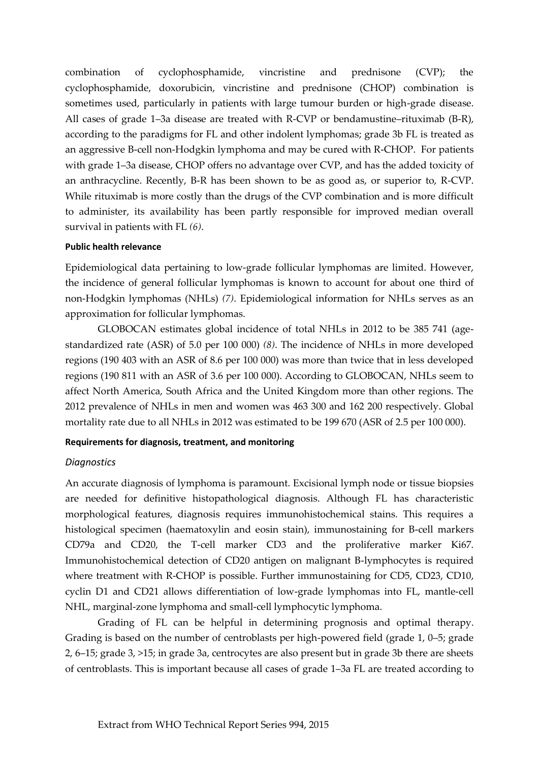combination of cyclophosphamide, vincristine and prednisone (CVP); the cyclophosphamide, doxorubicin, vincristine and prednisone (CHOP) combination is sometimes used, particularly in patients with large tumour burden or high-grade disease. All cases of grade 1–3a disease are treated with R-CVP or bendamustine–rituximab (B-R), according to the paradigms for FL and other indolent lymphomas; grade 3b FL is treated as an aggressive B-cell non-Hodgkin lymphoma and may be cured with R-CHOP. For patients with grade 1–3a disease, CHOP offers no advantage over CVP, and has the added toxicity of an anthracycline. Recently, B-R has been shown to be as good as, or superior to, R-CVP. While rituximab is more costly than the drugs of the CVP combination and is more difficult to administer, its availability has been partly responsible for improved median overall survival in patients with FL *(6)*.

## **Public health relevance**

Epidemiological data pertaining to low-grade follicular lymphomas are limited. However, the incidence of general follicular lymphomas is known to account for about one third of non-Hodgkin lymphomas (NHLs) *(7)*. Epidemiological information for NHLs serves as an approximation for follicular lymphomas.

GLOBOCAN estimates global incidence of total NHLs in 2012 to be 385 741 (agestandardized rate (ASR) of 5.0 per 100 000) *(8)*. The incidence of NHLs in more developed regions (190 403 with an ASR of 8.6 per 100 000) was more than twice that in less developed regions (190 811 with an ASR of 3.6 per 100 000). According to GLOBOCAN, NHLs seem to affect North America, South Africa and the United Kingdom more than other regions. The 2012 prevalence of NHLs in men and women was 463 300 and 162 200 respectively. Global mortality rate due to all NHLs in 2012 was estimated to be 199 670 (ASR of 2.5 per 100 000).

#### **Requirements for diagnosis, treatment, and monitoring**

## *Diagnostics*

An accurate diagnosis of lymphoma is paramount. Excisional lymph node or tissue biopsies are needed for definitive histopathological diagnosis. Although FL has characteristic morphological features, diagnosis requires immunohistochemical stains. This requires a histological specimen (haematoxylin and eosin stain), immunostaining for B-cell markers CD79a and CD20, the T-cell marker CD3 and the proliferative marker Ki67. Immunohistochemical detection of CD20 antigen on malignant B-lymphocytes is required where treatment with R-CHOP is possible. Further immunostaining for CD5, CD23, CD10, cyclin D1 and CD21 allows differentiation of low-grade lymphomas into FL, mantle-cell NHL, marginal-zone lymphoma and small-cell lymphocytic lymphoma.

Grading of FL can be helpful in determining prognosis and optimal therapy. Grading is based on the number of centroblasts per high-powered field (grade 1, 0–5; grade 2, 6–15; grade 3, >15; in grade 3a, centrocytes are also present but in grade 3b there are sheets of centroblasts. This is important because all cases of grade 1–3a FL are treated according to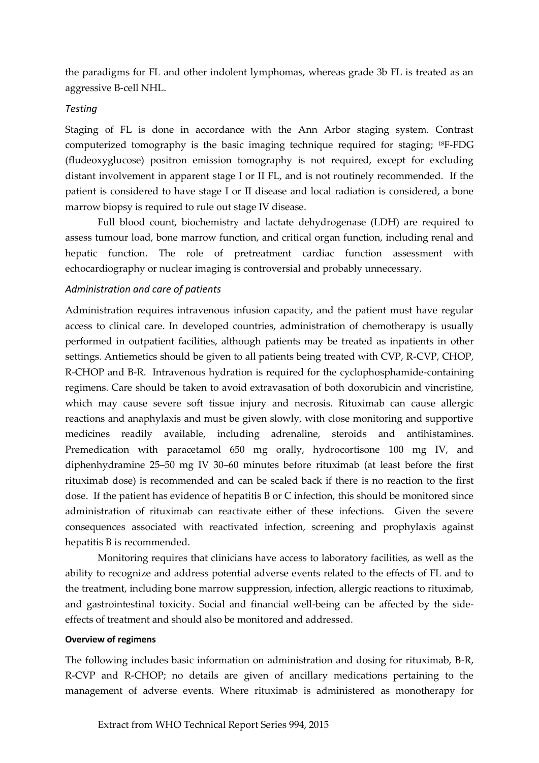the paradigms for FL and other indolent lymphomas, whereas grade 3b FL is treated as an aggressive B-cell NHL.

## *Testing*

Staging of FL is done in accordance with the Ann Arbor staging system. Contrast computerized tomography is the basic imaging technique required for staging; 18F-FDG (fludeoxyglucose) positron emission tomography is not required, except for excluding distant involvement in apparent stage I or II FL, and is not routinely recommended. If the patient is considered to have stage I or II disease and local radiation is considered, a bone marrow biopsy is required to rule out stage IV disease.

Full blood count, biochemistry and lactate dehydrogenase (LDH) are required to assess tumour load, bone marrow function, and critical organ function, including renal and hepatic function. The role of pretreatment cardiac function assessment with echocardiography or nuclear imaging is controversial and probably unnecessary.

## *Administration and care of patients*

Administration requires intravenous infusion capacity, and the patient must have regular access to clinical care. In developed countries, administration of chemotherapy is usually performed in outpatient facilities, although patients may be treated as inpatients in other settings. Antiemetics should be given to all patients being treated with CVP, R-CVP, CHOP, R-CHOP and B-R. Intravenous hydration is required for the cyclophosphamide-containing regimens. Care should be taken to avoid extravasation of both doxorubicin and vincristine, which may cause severe soft tissue injury and necrosis. Rituximab can cause allergic reactions and anaphylaxis and must be given slowly, with close monitoring and supportive medicines readily available, including adrenaline, steroids and antihistamines. Premedication with paracetamol 650 mg orally, hydrocortisone 100 mg IV, and diphenhydramine 25–50 mg IV 30–60 minutes before rituximab (at least before the first rituximab dose) is recommended and can be scaled back if there is no reaction to the first dose. If the patient has evidence of hepatitis B or C infection, this should be monitored since administration of rituximab can reactivate either of these infections. Given the severe consequences associated with reactivated infection, screening and prophylaxis against hepatitis B is recommended.

Monitoring requires that clinicians have access to laboratory facilities, as well as the ability to recognize and address potential adverse events related to the effects of FL and to the treatment, including bone marrow suppression, infection, allergic reactions to rituximab, and gastrointestinal toxicity. Social and financial well-being can be affected by the sideeffects of treatment and should also be monitored and addressed.

## **Overview of regimens**

The following includes basic information on administration and dosing for rituximab, B-R, R-CVP and R-CHOP; no details are given of ancillary medications pertaining to the management of adverse events. Where rituximab is administered as monotherapy for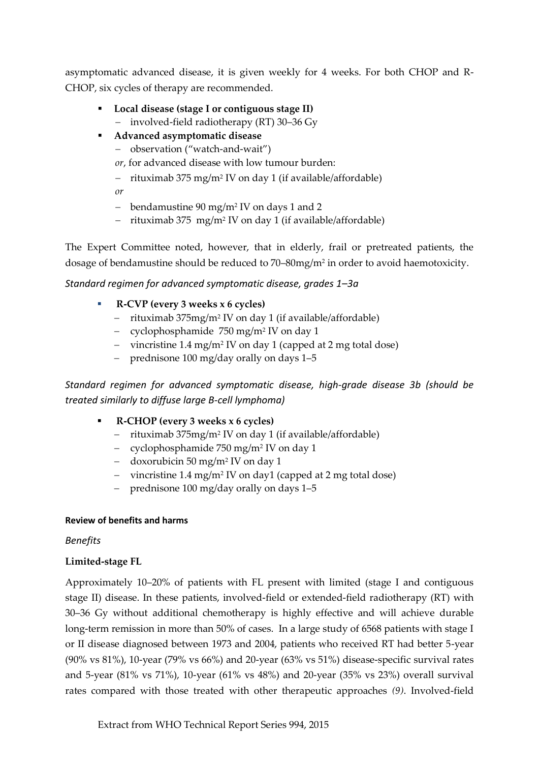asymptomatic advanced disease, it is given weekly for 4 weeks. For both CHOP and R-CHOP, six cycles of therapy are recommended.

- **Local disease (stage I or contiguous stage II)**
	- involved-field radiotherapy (RT) 30–36 Gy
- **Advanced asymptomatic disease**
	- observation ("watch-and-wait")
	- *or*, for advanced disease with low tumour burden:
	- rituximab 375 mg/m<sup>2</sup> IV on day 1 (if available/affordable)

*or*

- bendamustine 90 mg/m<sup>2</sup> IV on days 1 and 2
- rituximab 375 mg/m<sup>2</sup> IV on day 1 (if available/affordable)

The Expert Committee noted, however, that in elderly, frail or pretreated patients, the dosage of bendamustine should be reduced to 70–80mg/m<sup>2</sup> in order to avoid haemotoxicity.

## *Standard regimen for advanced symptomatic disease, grades 1–3a*

- **R-CVP (every 3 weeks x 6 cycles)**
	- rituximab 375mg/m<sup>2</sup> IV on day 1 (if available/affordable)
	- cyclophosphamide 750 mg/m<sup>2</sup> IV on day 1
	- vincristine 1.4 mg/m<sup>2</sup> IV on day 1 (capped at 2 mg total dose)
	- prednisone 100 mg/day orally on days 1–5

*Standard regimen for advanced symptomatic disease, high-grade disease 3b (should be treated similarly to diffuse large B-cell lymphoma)*

- **R-CHOP (every 3 weeks x 6 cycles)**
	- rituximab 375mg/m<sup>2</sup> IV on day 1 (if available/affordable)
	- cyclophosphamide 750 mg/m<sup>2</sup> IV on day 1
	- doxorubicin 50 mg/m<sup>2</sup> IV on day 1
	- vincristine 1.4 mg/m<sup>2</sup> IV on day1 (capped at 2 mg total dose)
	- prednisone 100 mg/day orally on days 1–5

## **Review of benefits and harms**

# *Benefits*

# **Limited-stage FL**

Approximately 10–20% of patients with FL present with limited (stage I and contiguous stage II) disease. In these patients, involved-field or extended-field radiotherapy (RT) with 30–36 Gy without additional chemotherapy is highly effective and will achieve durable long-term remission in more than 50% of cases. In a large study of 6568 patients with stage I or II disease diagnosed between 1973 and 2004, patients who received RT had better 5-year (90% vs 81%), 10-year (79% vs 66%) and 20-year (63% vs 51%) disease-specific survival rates and 5-year (81% vs 71%), 10-year (61% vs 48%) and 20-year (35% vs 23%) overall survival rates compared with those treated with other therapeutic approaches *(9)*. Involved-field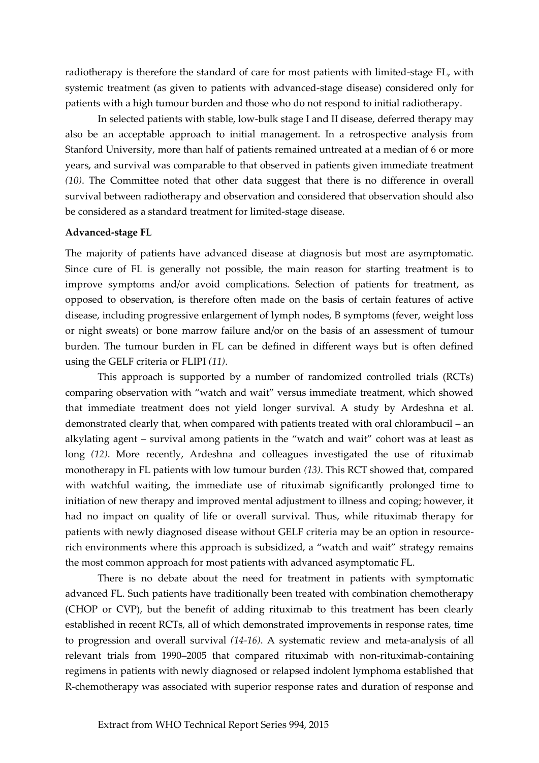radiotherapy is therefore the standard of care for most patients with limited-stage FL, with systemic treatment (as given to patients with advanced-stage disease) considered only for patients with a high tumour burden and those who do not respond to initial radiotherapy.

In selected patients with stable, low-bulk stage I and II disease, deferred therapy may also be an acceptable approach to initial management. In a retrospective analysis from Stanford University, more than half of patients remained untreated at a median of 6 or more years, and survival was comparable to that observed in patients given immediate treatment *(10)*. The Committee noted that other data suggest that there is no difference in overall survival between radiotherapy and observation and considered that observation should also be considered as a standard treatment for limited-stage disease.

## **Advanced-stage FL**

The majority of patients have advanced disease at diagnosis but most are asymptomatic. Since cure of FL is generally not possible, the main reason for starting treatment is to improve symptoms and/or avoid complications. Selection of patients for treatment, as opposed to observation, is therefore often made on the basis of certain features of active disease, including progressive enlargement of lymph nodes, B symptoms (fever, weight loss or night sweats) or bone marrow failure and/or on the basis of an assessment of tumour burden. The tumour burden in FL can be defined in different ways but is often defined using the GELF criteria or FLIPI *(11)*.

This approach is supported by a number of randomized controlled trials (RCTs) comparing observation with "watch and wait" versus immediate treatment, which showed that immediate treatment does not yield longer survival. A study by Ardeshna et al. demonstrated clearly that, when compared with patients treated with oral chlorambucil – an alkylating agent – survival among patients in the "watch and wait" cohort was at least as long *(12)*. More recently, Ardeshna and colleagues investigated the use of rituximab monotherapy in FL patients with low tumour burden *(13)*. This RCT showed that, compared with watchful waiting, the immediate use of rituximab significantly prolonged time to initiation of new therapy and improved mental adjustment to illness and coping; however, it had no impact on quality of life or overall survival. Thus, while rituximab therapy for patients with newly diagnosed disease without GELF criteria may be an option in resourcerich environments where this approach is subsidized, a "watch and wait" strategy remains the most common approach for most patients with advanced asymptomatic FL.

There is no debate about the need for treatment in patients with symptomatic advanced FL. Such patients have traditionally been treated with combination chemotherapy (CHOP or CVP), but the benefit of adding rituximab to this treatment has been clearly established in recent RCTs, all of which demonstrated improvements in response rates, time to progression and overall survival *(14-16)*. A systematic review and meta-analysis of all relevant trials from 1990–2005 that compared rituximab with non-rituximab-containing regimens in patients with newly diagnosed or relapsed indolent lymphoma established that R-chemotherapy was associated with superior response rates and duration of response and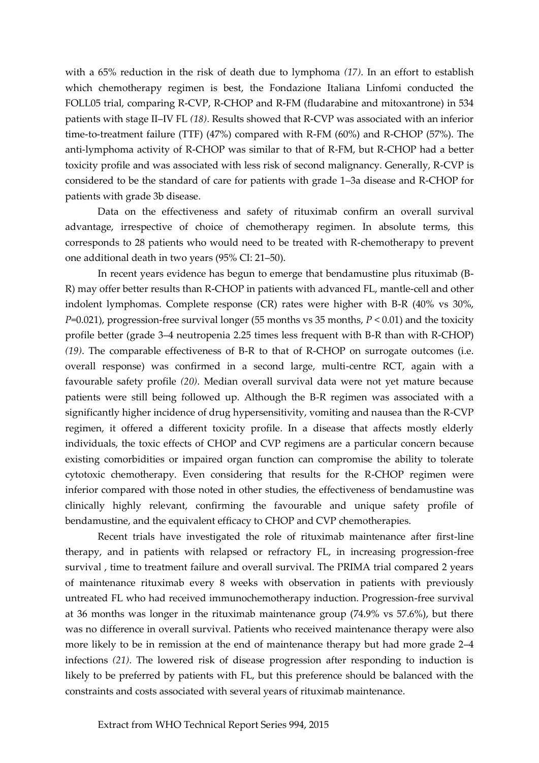with a 65% reduction in the risk of death due to lymphoma *(17)*. In an effort to establish which chemotherapy regimen is best, the Fondazione Italiana Linfomi conducted the FOLL05 trial, comparing R-CVP, R-CHOP and R-FM (fludarabine and mitoxantrone) in 534 patients with stage II–IV FL *(18)*. Results showed that R-CVP was associated with an inferior time-to-treatment failure (TTF) (47%) compared with R-FM (60%) and R-CHOP (57%). The anti-lymphoma activity of R-CHOP was similar to that of R-FM, but R-CHOP had a better toxicity profile and was associated with less risk of second malignancy. Generally, R-CVP is considered to be the standard of care for patients with grade 1–3a disease and R-CHOP for patients with grade 3b disease.

Data on the effectiveness and safety of rituximab confirm an overall survival advantage, irrespective of choice of chemotherapy regimen. In absolute terms, this corresponds to 28 patients who would need to be treated with R-chemotherapy to prevent one additional death in two years (95% CI: 21–50).

In recent years evidence has begun to emerge that bendamustine plus rituximab (B-R) may offer better results than R-CHOP in patients with advanced FL, mantle-cell and other indolent lymphomas. Complete response (CR) rates were higher with B-R (40% vs 30%, *P*=0.021), progression-free survival longer (55 months vs 35 months, *P* < 0.01) and the toxicity profile better (grade 3–4 neutropenia 2.25 times less frequent with B-R than with R-CHOP) *(19)*. The comparable effectiveness of B-R to that of R-CHOP on surrogate outcomes (i.e. overall response) was confirmed in a second large, multi-centre RCT, again with a favourable safety profile *(20)*. Median overall survival data were not yet mature because patients were still being followed up. Although the B-R regimen was associated with a significantly higher incidence of drug hypersensitivity, vomiting and nausea than the R-CVP regimen, it offered a different toxicity profile. In a disease that affects mostly elderly individuals, the toxic effects of CHOP and CVP regimens are a particular concern because existing comorbidities or impaired organ function can compromise the ability to tolerate cytotoxic chemotherapy. Even considering that results for the R-CHOP regimen were inferior compared with those noted in other studies, the effectiveness of bendamustine was clinically highly relevant, confirming the favourable and unique safety profile of bendamustine, and the equivalent efficacy to CHOP and CVP chemotherapies.

Recent trials have investigated the role of rituximab maintenance after first-line therapy, and in patients with relapsed or refractory FL, in increasing progression-free survival , time to treatment failure and overall survival. The PRIMA trial compared 2 years of maintenance rituximab every 8 weeks with observation in patients with previously untreated FL who had received immunochemotherapy induction. Progression-free survival at 36 months was longer in the rituximab maintenance group (74.9% vs 57.6%), but there was no difference in overall survival. Patients who received maintenance therapy were also more likely to be in remission at the end of maintenance therapy but had more grade 2–4 infections *(21)*. The lowered risk of disease progression after responding to induction is likely to be preferred by patients with FL, but this preference should be balanced with the constraints and costs associated with several years of rituximab maintenance.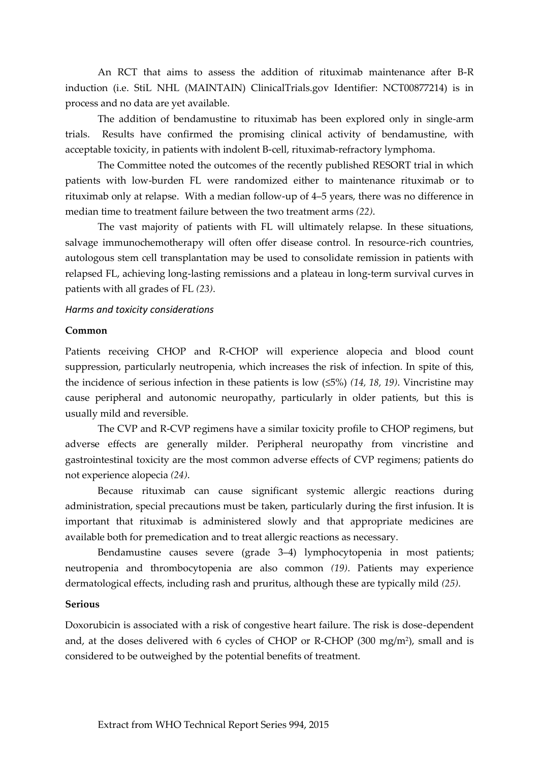An RCT that aims to assess the addition of rituximab maintenance after B-R induction (i.e. StiL NHL (MAINTAIN) ClinicalTrials.gov Identifier: NCT00877214) is in process and no data are yet available.

The addition of bendamustine to rituximab has been explored only in single-arm trials. Results have confirmed the promising clinical activity of bendamustine, with acceptable toxicity, in patients with indolent B-cell, rituximab-refractory lymphoma.

The Committee noted the outcomes of the recently published RESORT trial in which patients with low-burden FL were randomized either to maintenance rituximab or to rituximab only at relapse. With a median follow-up of 4–5 years, there was no difference in median time to treatment failure between the two treatment arms *(22)*.

The vast majority of patients with FL will ultimately relapse. In these situations, salvage immunochemotherapy will often offer disease control. In resource-rich countries, autologous stem cell transplantation may be used to consolidate remission in patients with relapsed FL, achieving long-lasting remissions and a plateau in long-term survival curves in patients with all grades of FL *(23)*.

### *Harms and toxicity considerations*

### **Common**

Patients receiving CHOP and R-CHOP will experience alopecia and blood count suppression, particularly neutropenia, which increases the risk of infection. In spite of this, the incidence of serious infection in these patients is low (≤5%) *(14, 18, 19)*. Vincristine may cause peripheral and autonomic neuropathy, particularly in older patients, but this is usually mild and reversible.

The CVP and R-CVP regimens have a similar toxicity profile to CHOP regimens, but adverse effects are generally milder. Peripheral neuropathy from vincristine and gastrointestinal toxicity are the most common adverse effects of CVP regimens; patients do not experience alopecia *(24)*.

Because rituximab can cause significant systemic allergic reactions during administration, special precautions must be taken, particularly during the first infusion. It is important that rituximab is administered slowly and that appropriate medicines are available both for premedication and to treat allergic reactions as necessary.

Bendamustine causes severe (grade 3–4) lymphocytopenia in most patients; neutropenia and thrombocytopenia are also common *(19)*. Patients may experience dermatological effects, including rash and pruritus, although these are typically mild *(25)*.

#### **Serious**

Doxorubicin is associated with a risk of congestive heart failure. The risk is dose-dependent and, at the doses delivered with 6 cycles of CHOP or R-CHOP (300 mg/m<sup>2</sup> ), small and is considered to be outweighed by the potential benefits of treatment.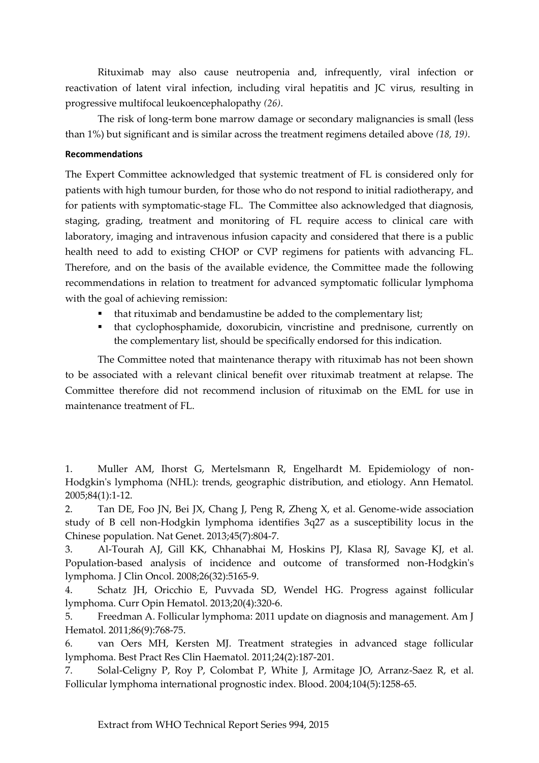Rituximab may also cause neutropenia and, infrequently, viral infection or reactivation of latent viral infection, including viral hepatitis and JC virus, resulting in progressive multifocal leukoencephalopathy *(26)*.

The risk of long-term bone marrow damage or secondary malignancies is small (less than 1%) but significant and is similar across the treatment regimens detailed above *(18, 19)*.

## **Recommendations**

The Expert Committee acknowledged that systemic treatment of FL is considered only for patients with high tumour burden, for those who do not respond to initial radiotherapy, and for patients with symptomatic-stage FL. The Committee also acknowledged that diagnosis, staging, grading, treatment and monitoring of FL require access to clinical care with laboratory, imaging and intravenous infusion capacity and considered that there is a public health need to add to existing CHOP or CVP regimens for patients with advancing FL. Therefore, and on the basis of the available evidence, the Committee made the following recommendations in relation to treatment for advanced symptomatic follicular lymphoma with the goal of achieving remission:

- that rituximab and bendamustine be added to the complementary list;
- that cyclophosphamide, doxorubicin, vincristine and prednisone, currently on the complementary list, should be specifically endorsed for this indication.

The Committee noted that maintenance therapy with rituximab has not been shown to be associated with a relevant clinical benefit over rituximab treatment at relapse. The Committee therefore did not recommend inclusion of rituximab on the EML for use in maintenance treatment of FL.

1. Muller AM, Ihorst G, Mertelsmann R, Engelhardt M. Epidemiology of non-Hodgkin's lymphoma (NHL): trends, geographic distribution, and etiology. Ann Hematol. 2005;84(1):1-12.

2. Tan DE, Foo JN, Bei JX, Chang J, Peng R, Zheng X, et al. Genome-wide association study of B cell non-Hodgkin lymphoma identifies 3q27 as a susceptibility locus in the Chinese population. Nat Genet. 2013;45(7):804-7.

3. Al-Tourah AJ, Gill KK, Chhanabhai M, Hoskins PJ, Klasa RJ, Savage KJ, et al. Population-based analysis of incidence and outcome of transformed non-Hodgkin's lymphoma. J Clin Oncol. 2008;26(32):5165-9.

4. Schatz JH, Oricchio E, Puvvada SD, Wendel HG. Progress against follicular lymphoma. Curr Opin Hematol. 2013;20(4):320-6.

5. Freedman A. Follicular lymphoma: 2011 update on diagnosis and management. Am J Hematol. 2011;86(9):768-75.

6. van Oers MH, Kersten MJ. Treatment strategies in advanced stage follicular lymphoma. Best Pract Res Clin Haematol. 2011;24(2):187-201.

7. Solal-Celigny P, Roy P, Colombat P, White J, Armitage JO, Arranz-Saez R, et al. Follicular lymphoma international prognostic index. Blood. 2004;104(5):1258-65.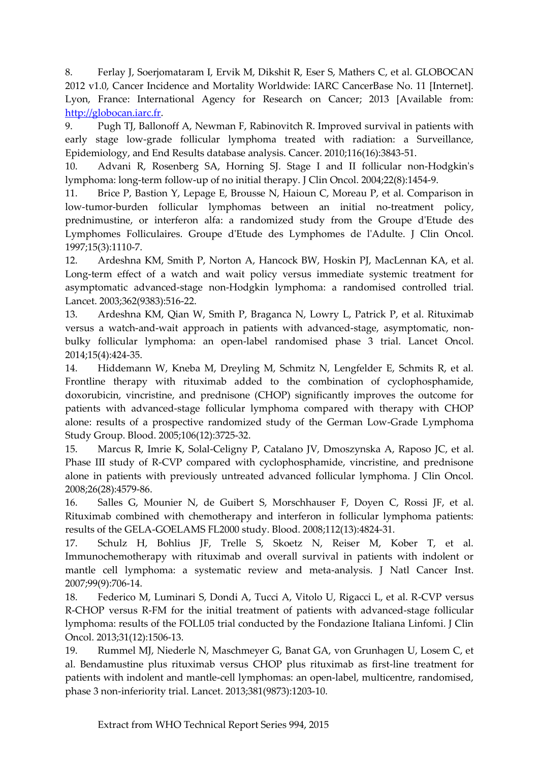8. Ferlay J, Soerjomataram I, Ervik M, Dikshit R, Eser S, Mathers C, et al. GLOBOCAN 2012 v1.0, Cancer Incidence and Mortality Worldwide: IARC CancerBase No. 11 [Internet]. Lyon, France: International Agency for Research on Cancer; 2013 [Available from: [http://globocan.iarc.fr.](http://globocan.iarc.fr/)

9. Pugh TJ, Ballonoff A, Newman F, Rabinovitch R. Improved survival in patients with early stage low-grade follicular lymphoma treated with radiation: a Surveillance, Epidemiology, and End Results database analysis. Cancer. 2010;116(16):3843-51.

10. Advani R, Rosenberg SA, Horning SJ. Stage I and II follicular non-Hodgkin's lymphoma: long-term follow-up of no initial therapy. J Clin Oncol. 2004;22(8):1454-9.

11. Brice P, Bastion Y, Lepage E, Brousse N, Haioun C, Moreau P, et al. Comparison in low-tumor-burden follicular lymphomas between an initial no-treatment policy, prednimustine, or interferon alfa: a randomized study from the Groupe d'Etude des Lymphomes Folliculaires. Groupe d'Etude des Lymphomes de l'Adulte. J Clin Oncol. 1997;15(3):1110-7.

12. Ardeshna KM, Smith P, Norton A, Hancock BW, Hoskin PJ, MacLennan KA, et al. Long-term effect of a watch and wait policy versus immediate systemic treatment for asymptomatic advanced-stage non-Hodgkin lymphoma: a randomised controlled trial. Lancet. 2003;362(9383):516-22.

13. Ardeshna KM, Qian W, Smith P, Braganca N, Lowry L, Patrick P, et al. Rituximab versus a watch-and-wait approach in patients with advanced-stage, asymptomatic, nonbulky follicular lymphoma: an open-label randomised phase 3 trial. Lancet Oncol. 2014;15(4):424-35.

14. Hiddemann W, Kneba M, Dreyling M, Schmitz N, Lengfelder E, Schmits R, et al. Frontline therapy with rituximab added to the combination of cyclophosphamide, doxorubicin, vincristine, and prednisone (CHOP) significantly improves the outcome for patients with advanced-stage follicular lymphoma compared with therapy with CHOP alone: results of a prospective randomized study of the German Low-Grade Lymphoma Study Group. Blood. 2005;106(12):3725-32.

15. Marcus R, Imrie K, Solal-Celigny P, Catalano JV, Dmoszynska A, Raposo JC, et al. Phase III study of R-CVP compared with cyclophosphamide, vincristine, and prednisone alone in patients with previously untreated advanced follicular lymphoma. J Clin Oncol. 2008;26(28):4579-86.

16. Salles G, Mounier N, de Guibert S, Morschhauser F, Doyen C, Rossi JF, et al. Rituximab combined with chemotherapy and interferon in follicular lymphoma patients: results of the GELA-GOELAMS FL2000 study. Blood. 2008;112(13):4824-31.

17. Schulz H, Bohlius JF, Trelle S, Skoetz N, Reiser M, Kober T, et al. Immunochemotherapy with rituximab and overall survival in patients with indolent or mantle cell lymphoma: a systematic review and meta-analysis. J Natl Cancer Inst. 2007;99(9):706-14.

18. Federico M, Luminari S, Dondi A, Tucci A, Vitolo U, Rigacci L, et al. R-CVP versus R-CHOP versus R-FM for the initial treatment of patients with advanced-stage follicular lymphoma: results of the FOLL05 trial conducted by the Fondazione Italiana Linfomi. J Clin Oncol. 2013;31(12):1506-13.

19. Rummel MJ, Niederle N, Maschmeyer G, Banat GA, von Grunhagen U, Losem C, et al. Bendamustine plus rituximab versus CHOP plus rituximab as first-line treatment for patients with indolent and mantle-cell lymphomas: an open-label, multicentre, randomised, phase 3 non-inferiority trial. Lancet. 2013;381(9873):1203-10.